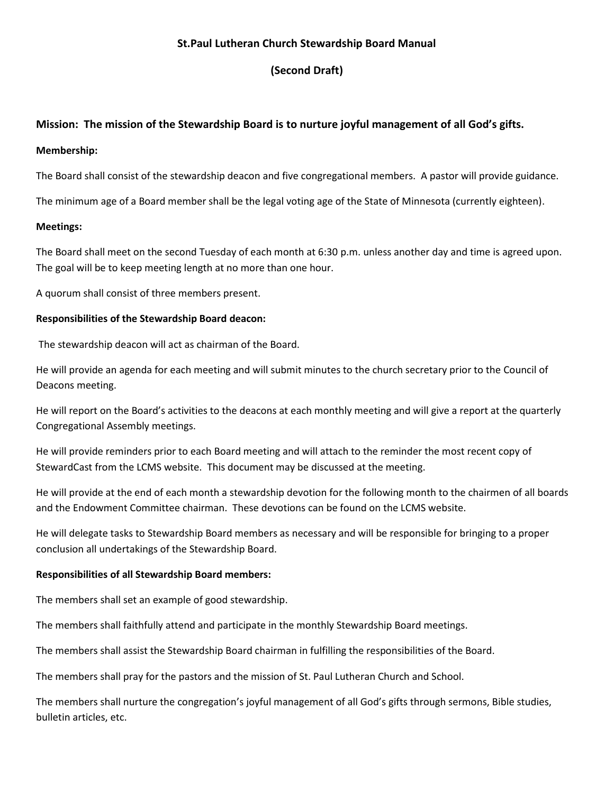## **St.Paul Lutheran Church Stewardship Board Manual**

# **(Second Draft)**

## **Mission: The mission of the Stewardship Board is to nurture joyful management of all God's gifts.**

#### **Membership:**

The Board shall consist of the stewardship deacon and five congregational members. A pastor will provide guidance.

The minimum age of a Board member shall be the legal voting age of the State of Minnesota (currently eighteen).

### **Meetings:**

The Board shall meet on the second Tuesday of each month at 6:30 p.m. unless another day and time is agreed upon. The goal will be to keep meeting length at no more than one hour.

A quorum shall consist of three members present.

### **Responsibilities of the Stewardship Board deacon:**

The stewardship deacon will act as chairman of the Board.

He will provide an agenda for each meeting and will submit minutes to the church secretary prior to the Council of Deacons meeting.

He will report on the Board's activities to the deacons at each monthly meeting and will give a report at the quarterly Congregational Assembly meetings.

He will provide reminders prior to each Board meeting and will attach to the reminder the most recent copy of StewardCast from the LCMS website. This document may be discussed at the meeting.

He will provide at the end of each month a stewardship devotion for the following month to the chairmen of all boards and the Endowment Committee chairman. These devotions can be found on the LCMS website.

He will delegate tasks to Stewardship Board members as necessary and will be responsible for bringing to a proper conclusion all undertakings of the Stewardship Board.

### **Responsibilities of all Stewardship Board members:**

The members shall set an example of good stewardship.

The members shall faithfully attend and participate in the monthly Stewardship Board meetings.

The members shall assist the Stewardship Board chairman in fulfilling the responsibilities of the Board.

The members shall pray for the pastors and the mission of St. Paul Lutheran Church and School.

The members shall nurture the congregation's joyful management of all God's gifts through sermons, Bible studies, bulletin articles, etc.